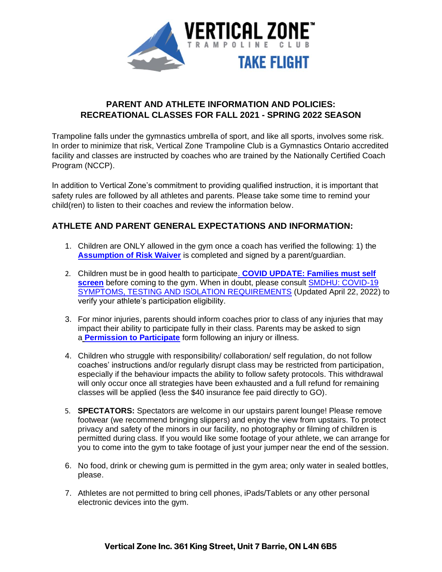

#### **PARENT AND ATHLETE INFORMATION AND POLICIES: RECREATIONAL CLASSES FOR FALL 2021 - SPRING 2022 SEASON**

Trampoline falls under the gymnastics umbrella of sport, and like all sports, involves some risk. In order to minimize that risk, Vertical Zone Trampoline Club is a Gymnastics Ontario accredited facility and classes are instructed by coaches who are trained by the Nationally Certified Coach Program (NCCP).

In addition to Vertical Zone's commitment to providing qualified instruction, it is important that safety rules are followed by all athletes and parents. Please take some time to remind your child(ren) to listen to their coaches and review the information below.

#### **ATHLETE AND PARENT GENERAL EXPECTATIONS AND INFORMATION:**

- 1. Children are ONLY allowed in the gym once a coach has verified the following: 1) the **[Assumption of Risk Waiver](https://app.waiverelectronic.com/render/templateByRefId/6112bf01cd365e471ca36ef5)** is completed and signed by a parent/guardian.
- 2. Children must be in good health to participate. **[COVID UPDATE: Families must self](https://covid-19.ontario.ca/school-screening/)  [screen](https://covid-19.ontario.ca/school-screening/)** before coming to the gym. When in doubt, please consult **SMDHU: COVID-19** [SYMPTOMS, TESTING AND ISOLATION REQUIREMENTS](https://www.simcoemuskokahealth.org/docs/default-source/COVID-/20220131-covid-19-fact-sheet-symptoms-testing-and-isolation-requirments-final.pdf?sfvrsn=10) (Updated April 22, 2022) to verify your athlete's participation eligibility.
- 3. For minor injuries, parents should inform coaches prior to class of any injuries that may impact their ability to participate fully in their class. Parents may be asked to sign [a](http://miltonspringers.ca/clientuploads/Permission%20to%20Fully%20Participate%202016.pdf) **[Permission to Participate](https://verticalzone.ca/wp-content/uploads/2019/08/Vertical-Zone-PERMISSION-TO-PARTICIPATE-FOLLOWING-INJURY_-ILLNESS.pdf)** form following an injury or illness.
- 4. Children who struggle with responsibility/ collaboration/ self regulation, do not follow coaches' instructions and/or regularly disrupt class may be restricted from participation, especially if the behaviour impacts the ability to follow safety protocols. This withdrawal will only occur once all strategies have been exhausted and a full refund for remaining classes will be applied (less the \$40 insurance fee paid directly to GO).
- 5. **SPECTATORS:** Spectators are welcome in our upstairs parent lounge! Please remove footwear (we recommend bringing slippers) and enjoy the view from upstairs. To protect privacy and safety of the minors in our facility, no photography or filming of children is permitted during class. If you would like some footage of your athlete, we can arrange for you to come into the gym to take footage of just your jumper near the end of the session.
- 6. No food, drink or chewing gum is permitted in the gym area; only water in sealed bottles, please.
- 7. Athletes are not permitted to bring cell phones, iPads/Tablets or any other personal electronic devices into the gym.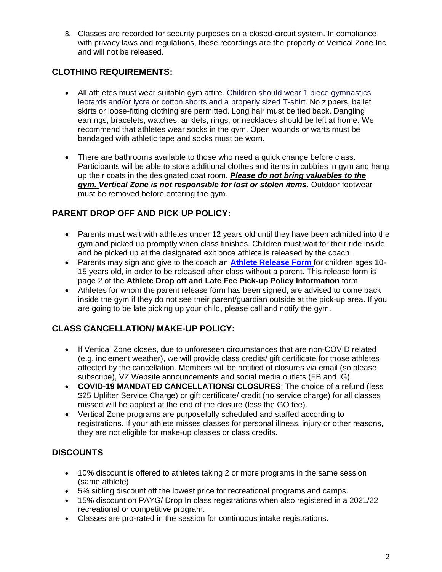8. Classes are recorded for security purposes on a closed-circuit system. In compliance with privacy laws and regulations, these recordings are the property of Vertical Zone Inc and will not be released.

#### **CLOTHING REQUIREMENTS:**

- All athletes must wear suitable gym attire. Children should wear 1 piece gymnastics leotards and/or lycra or cotton shorts and a properly sized T-shirt. No zippers, ballet skirts or loose-fitting clothing are permitted. Long hair must be tied back. Dangling earrings, bracelets, watches, anklets, rings, or necklaces should be left at home. We recommend that athletes wear socks in the gym. Open wounds or warts must be bandaged with athletic tape and socks must be worn.
- There are bathrooms available to those who need a quick change before class. Participants will be able to store additional clothes and items in cubbies in gym and hang up their coats in the designated coat room. *Please do not bring valuables to the gym. Vertical Zone is not responsible for lost or stolen items.* Outdoor footwear must be removed before entering the gym.

# **PARENT DROP OFF AND PICK UP POLICY:**

- Parents must wait with athletes under 12 years old until they have been admitted into the gym and picked up promptly when class finishes. Children must wait for their ride inside and be picked up at the designated exit once athlete is released by the coach.
- Parents may sign and give to the coach an **Athlete [Release Form](https://verticalzone.ca/wp-content/uploads/2019/08/Vertical-Zone-ATHLETE-DROP-OFF_-PICK-UP-POLICY.pdf)** for children ages 10- 15 years old, in order to be released after class without a parent. This release form is page 2 of the **Athlete Drop off and Late Fee Pick-up Policy Information** form.
- Athletes for whom the parent release form has been signed, are advised to come back inside the gym if they do not see their parent/guardian outside at the pick-up area. If you are going to be late picking up your child, please call and notify the gym.

# **CLASS CANCELLATION/ MAKE-UP POLICY:**

- If Vertical Zone closes, due to unforeseen circumstances that are non-COVID related (e.g. inclement weather), we will provide class credits/ gift certificate for those athletes affected by the cancellation. Members will be notified of closures via email (so please subscribe), VZ Website announcements and social media outlets (FB and IG).
- **COVID-19 MANDATED CANCELLATIONS/ CLOSURES**: The choice of a refund (less \$25 Uplifter Service Charge) or gift certificate/ credit (no service charge) for all classes missed will be applied at the end of the closure (less the GO fee).
- Vertical Zone programs are purposefully scheduled and staffed according to registrations. If your athlete misses classes for personal illness, injury or other reasons, they are not eligible for make-up classes or class credits.

# **DISCOUNTS**

- 10% discount is offered to athletes taking 2 or more programs in the same session (same athlete)
- 5% sibling discount off the lowest price for recreational programs and camps.
- 15% discount on PAYG/ Drop In class registrations when also registered in a 2021/22 recreational or competitive program.
- Classes are pro-rated in the session for continuous intake registrations.